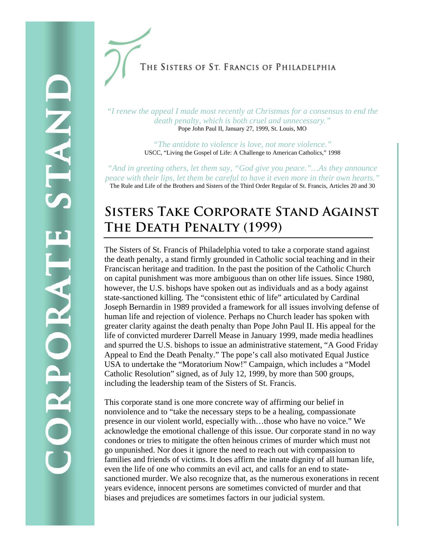THE SISTERS OF ST. FRANCIS OF PHILADELPHIA

*"I renew the appeal I made most recently at Christmas for a consensus to end the death penalty, which is both cruel and unnecessary."*  Pope John Paul II, January 27, 1999, St. Louis, MO

> *"The antidote to violence is love, not more violence."*  USCC, "Living the Gospel of Life: A Challenge to American Catholics," 1998

*"And in greeting others, let them say, "God give you peace."…As they announce peace with their lips, let them be careful to have it even more in their own hearts."* The Rule and Life of the Brothers and Sisters of the Third Order Regular of St. Francis, Articles 20 and 30

## **Sisters Take Corporate Stand Against The Death Penalty (1999)**

The Sisters of St. Francis of Philadelphia voted to take a corporate stand against the death penalty, a stand firmly grounded in Catholic social teaching and in their Franciscan heritage and tradition. In the past the position of the Catholic Church on capital punishment was more ambiguous than on other life issues. Since 1980, however, the U.S. bishops have spoken out as individuals and as a body against state-sanctioned killing. The "consistent ethic of life" articulated by Cardinal Joseph Bernardin in 1989 provided a framework for all issues involving defense of human life and rejection of violence. Perhaps no Church leader has spoken with greater clarity against the death penalty than Pope John Paul II. His appeal for the life of convicted murderer Darrell Mease in January 1999, made media headlines and spurred the U.S. bishops to issue an administrative statement, "A Good Friday Appeal to End the Death Penalty." The pope's call also motivated Equal Justice USA to undertake the "Moratorium Now!" Campaign, which includes a "Model Catholic Resolution" signed, as of July 12, 1999, by more than 500 groups, including the leadership team of the Sisters of St. Francis.

This corporate stand is one more concrete way of affirming our belief in nonviolence and to "take the necessary steps to be a healing, compassionate presence in our violent world, especially with…those who have no voice." We acknowledge the emotional challenge of this issue. Our corporate stand in no way condones or tries to mitigate the often heinous crimes of murder which must not go unpunished. Nor does it ignore the need to reach out with compassion to families and friends of victims. It does affirm the innate dignity of all human life, even the life of one who commits an evil act, and calls for an end to statesanctioned murder. We also recognize that, as the numerous exonerations in recent years evidence, innocent persons are sometimes convicted of murder and that biases and prejudices are sometimes factors in our judicial system.